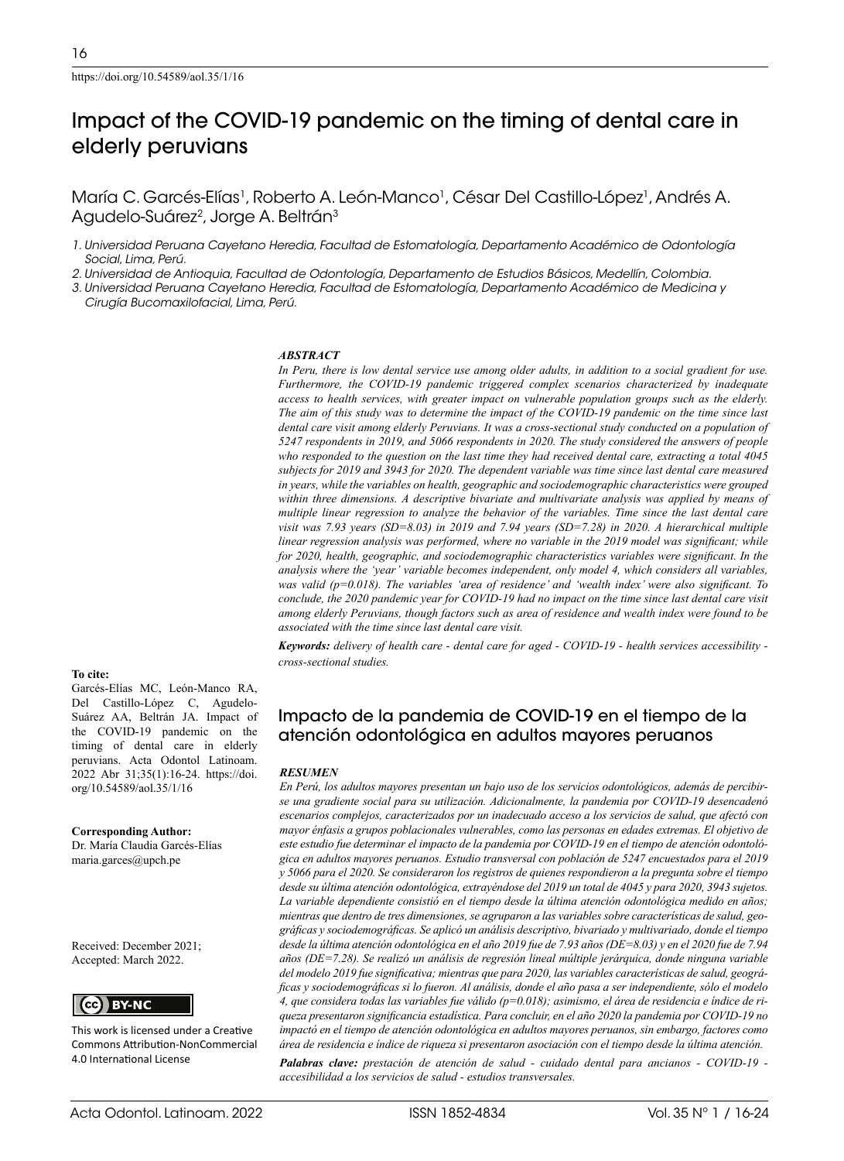# Impact of the COVID-19 pandemic on the timing of dental care in elderly peruvians

María C. Garcés-Elías<sup>1</sup>, Roberto A. León-Manco<sup>1</sup>, César Del Castillo-López<sup>1</sup>, Andrés A. Agudelo-Suárez<sup>2</sup>, Jorge A. Beltrán<sup>3</sup>

*1. Universidad Peruana Cayetano Heredia, Facultad de Estomatología, Departamento Académico de Odontología Social, Lima, Perú.*

*2. Universidad de Antioquia, Facultad de Odontología, Departamento de Estudios Básicos, Medellín, Colombia.*

*3. Universidad Peruana Cayetano Heredia, Facultad de Estomatología, Departamento Académico de Medicina y Cirugía Bucomaxilofacial, Lima, Perú.*

#### *ABSTRACT*

*In Peru, there is low dental service use among older adults, in addition to a social gradient for use. Furthermore, the COVID-19 pandemic triggered complex scenarios characterized by inadequate access to health services, with greater impact on vulnerable population groups such as the elderly. The aim of this study was to determine the impact of the COVID-19 pandemic on the time since last dental care visit among elderly Peruvians. It was a cross-sectional study conducted on a population of 5247 respondents in 2019, and 5066 respondents in 2020. The study considered the answers of people who responded to the question on the last time they had received dental care, extracting a total 4045 subjects for 2019 and 3943 for 2020. The dependent variable was time since last dental care measured in years, while the variables on health, geographic and sociodemographic characteristics were grouped within three dimensions. A descriptive bivariate and multivariate analysis was applied by means of multiple linear regression to analyze the behavior of the variables. Time since the last dental care visit was 7.93 years (SD=8.03) in 2019 and 7.94 years (SD=7.28) in 2020. A hierarchical multiple linear regression analysis was performed, where no variable in the 2019 model was significant; while for 2020, health, geographic, and sociodemographic characteristics variables were significant. In the analysis where the 'year' variable becomes independent, only model 4, which considers all variables, was valid (p=0.018). The variables 'area of residence' and 'wealth index' were also significant. To conclude, the 2020 pandemic year for COVID-19 had no impact on the time since last dental care visit among elderly Peruvians, though factors such as area of residence and wealth index were found to be associated with the time since last dental care visit.*

*Keywords: delivery of health care - dental care for aged - COVID-19 - health services accessibility cross-sectional studies.*

### **To cite:**

Garcés-Elías MC, León-Manco RA, Del Castillo-López C, Agudelo-Suárez AA, Beltrán JA. Impact of the COVID-19 pandemic on the timing of dental care in elderly peruvians. Acta Odontol Latinoam. 2022 Abr 31;35(1):16-24. https://doi. org/10.54589/aol.35/1/16

**Corresponding Author:** Dr. María Claudia Garcés-Elías maria.garces@upch.pe

Received: December 2021; Accepted: March 2022.

(cc) BY-NC

This work is licensed under a Creative Commons Attribution-NonCommercial 4.0 International License

# Impacto de la pandemia de COVID-19 en el tiempo de la atención odontológica en adultos mayores peruanos

#### *RESUMEN*

*En Perú, los adultos mayores presentan un bajo uso de los servicios odontológicos, además de percibirse una gradiente social para su utilización. Adicionalmente, la pandemia por COVID-19 desencadenó escenarios complejos, caracterizados por un inadecuado acceso a los servicios de salud, que afectó con mayor énfasis a grupos poblacionales vulnerables, como las personas en edades extremas. El objetivo de este estudio fue determinar el impacto de la pandemia por COVID-19 en el tiempo de atención odontológica en adultos mayores peruanos. Estudio transversal con población de 5247 encuestados para el 2019 y 5066 para el 2020. Se consideraron los registros de quienes respondieron a la pregunta sobre el tiempo desde su última atención odontológica, extrayéndose del 2019 un total de 4045 y para 2020, 3943 sujetos. La variable dependiente consistió en el tiempo desde la última atención odontológica medido en años; mientras que dentro de tres dimensiones, se agruparon a las variables sobre características de salud, geográficas y sociodemográficas. Se aplicó un análisis descriptivo, bivariado y multivariado, donde el tiempo desde la última atención odontológica en el año 2019 fue de 7.93 años (DE=8.03) y en el 2020 fue de 7.94 años (DE=7.28). Se realizó un análisis de regresión lineal múltiple jerárquica, donde ninguna variable del modelo 2019 fue significativa; mientras que para 2020, las variables características de salud, geográficas y sociodemográficas si lo fueron. Al análisis, donde el año pasa a ser independiente, sólo el modelo 4, que considera todas las variables fue válido (p=0.018); asimismo, el área de residencia e índice de riqueza presentaron significancia estadística. Para concluir, en el año 2020 la pandemia por COVID-19 no impactó en el tiempo de atención odontológica en adultos mayores peruanos, sin embargo, factores como área de residencia e índice de riqueza si presentaron asociación con el tiempo desde la última atención.*

*Palabras clave: prestación de atención de salud - cuidado dental para ancianos - COVID-19 accesibilidad a los servicios de salud - estudios transversales.*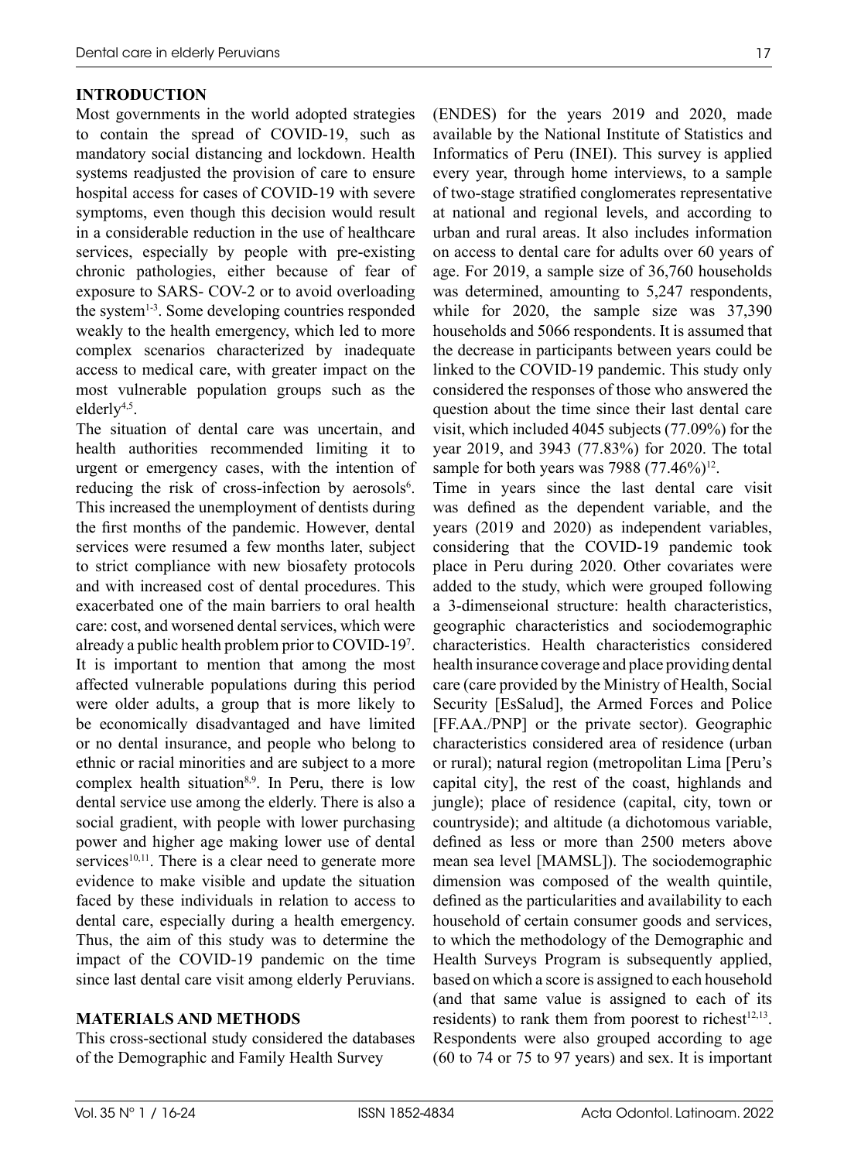# **INTRODUCTION**

Most governments in the world adopted strategies to contain the spread of COVID-19, such as mandatory social distancing and lockdown. Health systems readjusted the provision of care to ensure hospital access for cases of COVID-19 with severe symptoms, even though this decision would result in a considerable reduction in the use of healthcare services, especially by people with pre-existing chronic pathologies, either because of fear of exposure to SARS- COV-2 or to avoid overloading the system1-3. Some developing countries responded weakly to the health emergency, which led to more complex scenarios characterized by inadequate access to medical care, with greater impact on the most vulnerable population groups such as the elderly4,5.

The situation of dental care was uncertain, and health authorities recommended limiting it to urgent or emergency cases, with the intention of reducing the risk of cross-infection by aerosols<sup>6</sup>. This increased the unemployment of dentists during the first months of the pandemic. However, dental services were resumed a few months later, subject to strict compliance with new biosafety protocols and with increased cost of dental procedures. This exacerbated one of the main barriers to oral health care: cost, and worsened dental services, which were already a public health problem prior to COVID-197 . It is important to mention that among the most affected vulnerable populations during this period were older adults, a group that is more likely to be economically disadvantaged and have limited or no dental insurance, and people who belong to ethnic or racial minorities and are subject to a more complex health situation<sup>8,9</sup>. In Peru, there is low dental service use among the elderly. There is also a social gradient, with people with lower purchasing power and higher age making lower use of dental services<sup>10,11</sup>. There is a clear need to generate more evidence to make visible and update the situation faced by these individuals in relation to access to dental care, especially during a health emergency. Thus, the aim of this study was to determine the impact of the COVID-19 pandemic on the time since last dental care visit among elderly Peruvians.

## **MATERIALS AND METHODS**

This cross-sectional study considered the databases of the Demographic and Family Health Survey

(ENDES) for the years 2019 and 2020, made available by the National Institute of Statistics and Informatics of Peru (INEI). This survey is applied every year, through home interviews, to a sample of two-stage stratified conglomerates representative at national and regional levels, and according to urban and rural areas. It also includes information on access to dental care for adults over 60 years of age. For 2019, a sample size of 36,760 households was determined, amounting to 5,247 respondents, while for 2020, the sample size was 37,390 households and 5066 respondents. It is assumed that the decrease in participants between years could be linked to the COVID-19 pandemic. This study only considered the responses of those who answered the question about the time since their last dental care visit, which included 4045 subjects (77.09%) for the year 2019, and 3943 (77.83%) for 2020. The total sample for both years was 7988  $(77.46\%)^{12}$ .

Time in years since the last dental care visit was defined as the dependent variable, and the years (2019 and 2020) as independent variables, considering that the COVID-19 pandemic took place in Peru during 2020. Other covariates were added to the study, which were grouped following a 3-dimenseional structure: health characteristics, geographic characteristics and sociodemographic characteristics. Health characteristics considered health insurance coverage and place providing dental care (care provided by the Ministry of Health, Social Security [EsSalud], the Armed Forces and Police [FF.AA./PNP] or the private sector). Geographic characteristics considered area of residence (urban or rural); natural region (metropolitan Lima [Peru's capital city], the rest of the coast, highlands and jungle); place of residence (capital, city, town or countryside); and altitude (a dichotomous variable, defined as less or more than 2500 meters above mean sea level [MAMSL]). The sociodemographic dimension was composed of the wealth quintile, defined as the particularities and availability to each household of certain consumer goods and services, to which the methodology of the Demographic and Health Surveys Program is subsequently applied, based on which a score is assigned to each household (and that same value is assigned to each of its residents) to rank them from poorest to richest<sup>12,13</sup>. Respondents were also grouped according to age (60 to 74 or 75 to 97 years) and sex. It is important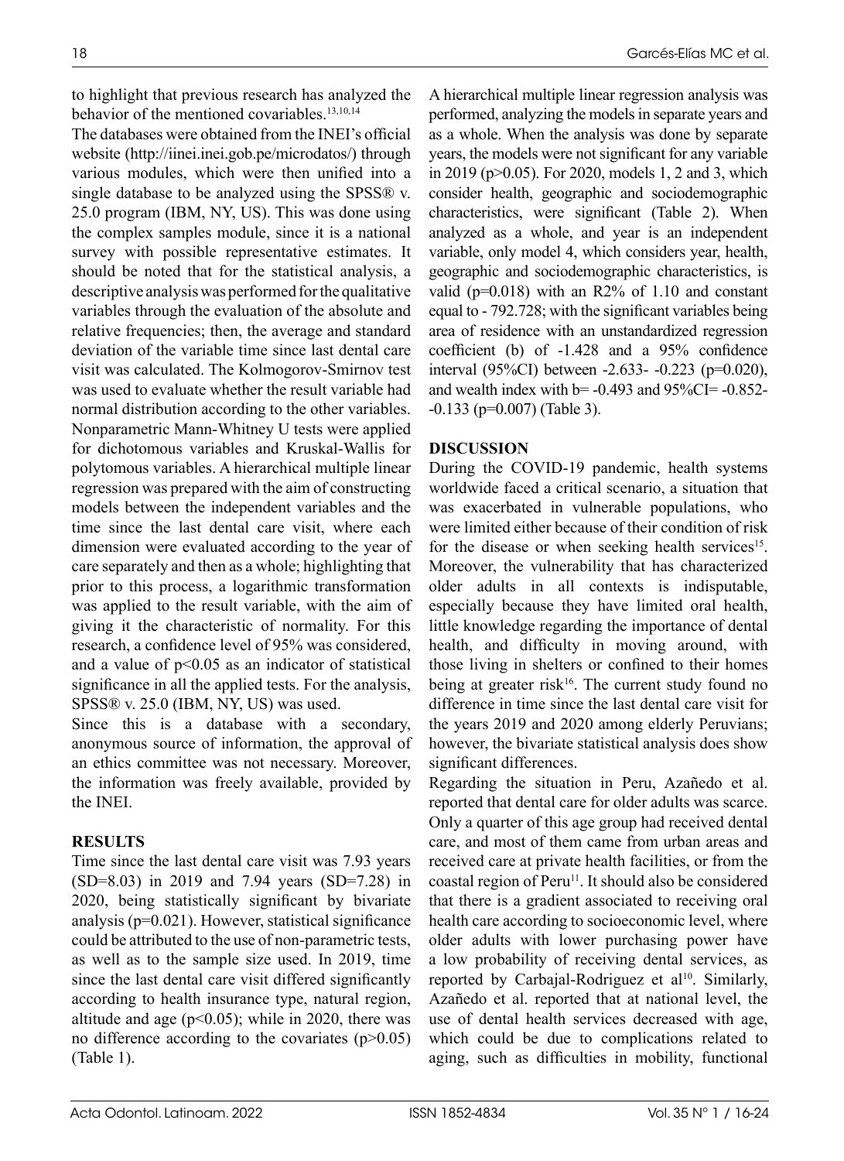to highlight that previous research has analyzed the behavior of the mentioned covariables.<sup>13,10,14</sup>

The databases were obtained from the INEI's official website (http://iinei.inei.gob.pe/microdatos/) through various modules, which were then unified into a single database to be analyzed using the SPSS® v. 25.0 program (IBM, NY, US). This was done using the complex samples module, since it is a national survey with possible representative estimates. It should be noted that for the statistical analysis, a descriptive analysis was performed for the qualitative variables through the evaluation of the absolute and relative frequencies; then, the average and standard deviation of the variable time since last dental care visit was calculated. The Kolmogorov-Smirnov test was used to evaluate whether the result variable had normal distribution according to the other variables. Nonparametric Mann-Whitney U tests were applied for dichotomous variables and Kruskal-Wallis for polytomous variables. A hierarchical multiple linear regression was prepared with the aim of constructing models between the independent variables and the time since the last dental care visit, where each dimension were evaluated according to the year of care separately and then as a whole; highlighting that prior to this process, a logarithmic transformation was applied to the result variable, with the aim of giving it the characteristic of normality. For this research, a confidence level of 95% was considered, and a value of  $p<0.05$  as an indicator of statistical significance in all the applied tests. For the analysis, SPSS® v. 25.0 (IBM, NY, US) was used.

Since this is a database with a secondary, anonymous source of information, the approval of an ethics committee was not necessary. Moreover, the information was freely available, provided by the INEI.

# **RESULTS**

Time since the last dental care visit was 7.93 years (SD=8.03) in 2019 and 7.94 years (SD=7.28) in 2020, being statistically significant by bivariate analysis (p=0.021). However, statistical significance could be attributed to the use of non-parametric tests, as well as to the sample size used. In 2019, time since the last dental care visit differed significantly according to health insurance type, natural region, altitude and age ( $p<0.05$ ); while in 2020, there was no difference according to the covariates  $(p>0.05)$ (Table 1).

A hierarchical multiple linear regression analysis was performed, analyzing the models in separate years and as a whole. When the analysis was done by separate years, the models were not significant for any variable in 2019 (p>0.05). For 2020, models 1, 2 and 3, which consider health, geographic and sociodemographic characteristics, were significant (Table 2). When analyzed as a whole, and year is an independent variable, only model 4, which considers year, health, geographic and sociodemographic characteristics, is valid ( $p=0.018$ ) with an R2% of 1.10 and constant equal to - 792.728; with the significant variables being area of residence with an unstandardized regression coefficient (b) of -1.428 and a 95% confidence interval (95%CI) between -2.633- -0.223 (p=0.020), and wealth index with  $b = -0.493$  and  $95\%$ CI= $-0.852$ --0.133 (p=0.007) (Table 3).

# **DISCUSSION**

During the COVID-19 pandemic, health systems worldwide faced a critical scenario, a situation that was exacerbated in vulnerable populations, who were limited either because of their condition of risk for the disease or when seeking health services<sup>15</sup>. Moreover, the vulnerability that has characterized older adults in all contexts is indisputable, especially because they have limited oral health, little knowledge regarding the importance of dental health, and difficulty in moving around, with those living in shelters or confined to their homes being at greater risk<sup>16</sup>. The current study found no difference in time since the last dental care visit for the years 2019 and 2020 among elderly Peruvians; however, the bivariate statistical analysis does show significant differences.

Regarding the situation in Peru, Azañedo et al. reported that dental care for older adults was scarce. Only a quarter of this age group had received dental care, and most of them came from urban areas and received care at private health facilities, or from the coastal region of Peru<sup>11</sup>. It should also be considered that there is a gradient associated to receiving oral health care according to socioeconomic level, where older adults with lower purchasing power have a low probability of receiving dental services, as reported by Carbajal-Rodriguez et al<sup>10</sup>. Similarly, Azañedo et al. reported that at national level, the use of dental health services decreased with age, which could be due to complications related to aging, such as difficulties in mobility, functional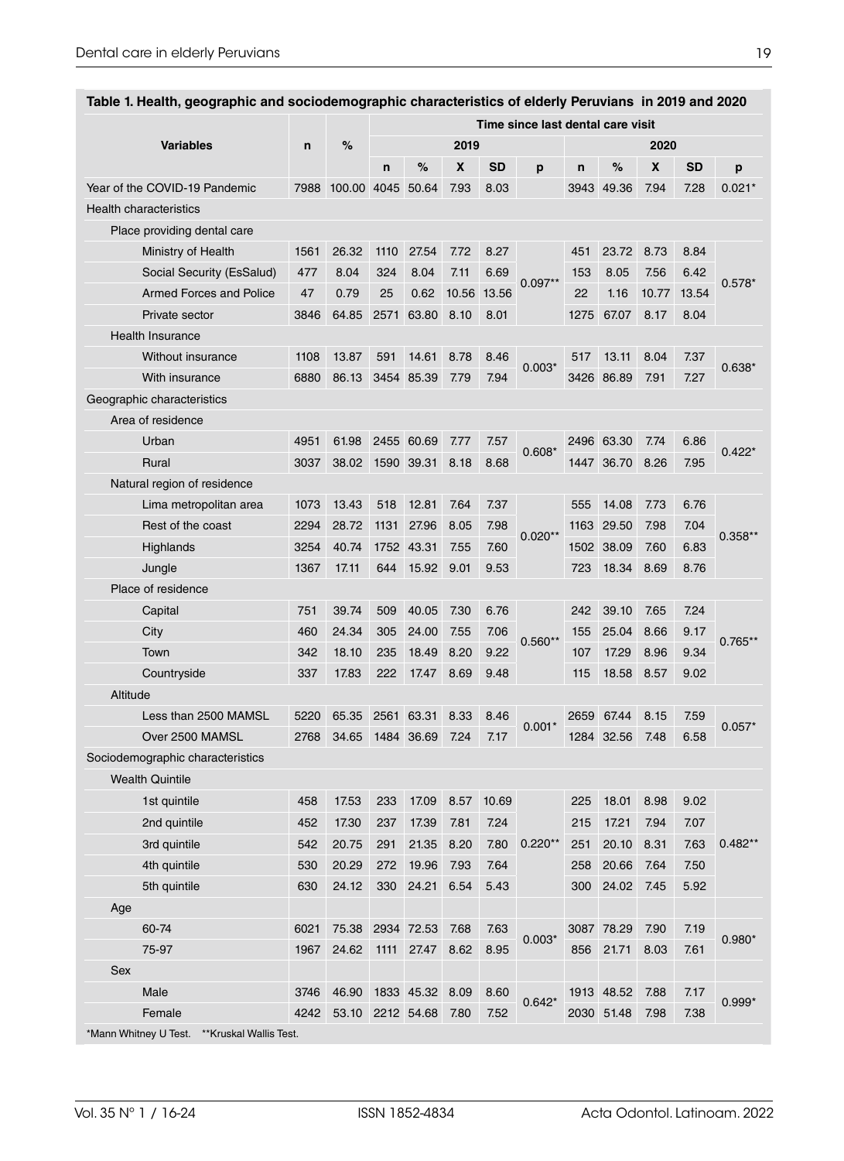|                  |                                              |      |             | Time since last dental care visit |                 |       |           |           |              |            |       |           |           |
|------------------|----------------------------------------------|------|-------------|-----------------------------------|-----------------|-------|-----------|-----------|--------------|------------|-------|-----------|-----------|
| <b>Variables</b> |                                              | n    | %           | 2019                              |                 |       |           |           | 2020         |            |       |           |           |
|                  |                                              |      |             | n                                 | %               | X     | <b>SD</b> | p         | $\mathsf{n}$ | %          | X     | <b>SD</b> | p         |
|                  | Year of the COVID-19 Pandemic                | 7988 | 100.00 4045 |                                   | 50.64           | 7.93  | 8.03      |           | 3943         | 49.36      | 7.94  | 7.28      | $0.021*$  |
|                  | <b>Health characteristics</b>                |      |             |                                   |                 |       |           |           |              |            |       |           |           |
|                  | Place providing dental care                  |      |             |                                   |                 |       |           |           |              |            |       |           |           |
|                  | Ministry of Health                           | 1561 | 26.32       | 1110                              | 27.54           | 7.72  | 8.27      | $0.097**$ | 451          | 23.72      | 8.73  | 8.84      | $0.578*$  |
|                  | Social Security (EsSalud)                    | 477  | 8.04        | 324                               | 8.04            | 7.11  | 6.69      |           | 153          | 8.05       | 7.56  | 6.42      |           |
|                  | <b>Armed Forces and Police</b>               | 47   | 0.79        | 25                                | 0.62            | 10.56 | 13.56     |           | 22           | 1.16       | 10.77 | 13.54     |           |
|                  | Private sector                               | 3846 | 64.85       | 2571                              | 63.80           | 8.10  | 8.01      |           | 1275         | 67.07      | 8.17  | 8.04      |           |
|                  | <b>Health Insurance</b>                      |      |             |                                   |                 |       |           |           |              |            |       |           |           |
|                  | <b>Without insurance</b>                     | 1108 | 13.87       | 591                               | 14.61           | 8.78  | 8.46      | $0.003*$  | 517          | 13.11      | 8.04  | 7.37      |           |
|                  | With insurance                               | 6880 | 86.13       |                                   | 3454 85.39      | 7.79  | 7.94      |           |              | 3426 86.89 | 7.91  | 7.27      | $0.638*$  |
|                  | Geographic characteristics                   |      |             |                                   |                 |       |           |           |              |            |       |           |           |
|                  | Area of residence                            |      |             |                                   |                 |       |           |           |              |            |       |           |           |
|                  | Urban                                        | 4951 | 61.98       |                                   | 2455 60.69      | 7.77  | 7.57      |           |              | 2496 63.30 | 7.74  | 6.86      | $0.422*$  |
|                  | Rural                                        | 3037 | 38.02       |                                   | 1590 39.31      | 8.18  | 8.68      | $0.608*$  |              | 1447 36.70 | 8.26  | 7.95      |           |
|                  | Natural region of residence                  |      |             |                                   |                 |       |           |           |              |            |       |           |           |
|                  | Lima metropolitan area                       | 1073 | 13.43       | 518                               | 12.81           | 7.64  | 7.37      | $0.020**$ | 555          | 14.08      | 7.73  | 6.76      | $0.358**$ |
|                  | Rest of the coast                            | 2294 | 28.72       | 1131                              | 27.96           | 8.05  | 7.98      |           | 1163         | 29.50      | 7.98  | 7.04      |           |
|                  | Highlands                                    | 3254 | 40.74       | 1752                              | 43.31           | 7.55  | 7.60      |           |              | 1502 38.09 | 7.60  | 6.83      |           |
|                  | Jungle                                       | 1367 | 17.11       | 644                               | 15.92           | 9.01  | 9.53      |           | 723          | 18.34      | 8.69  | 8.76      |           |
|                  | Place of residence                           |      |             |                                   |                 |       |           |           |              |            |       |           |           |
|                  | Capital                                      | 751  | 39.74       | 509                               | 40.05           | 7.30  | 6.76      |           | 242          | 39.10      | 7.65  | 7.24      | $0.765**$ |
|                  | City                                         | 460  | 24.34       | 305                               | 24.00           | 7.55  | 7.06      | $0.560**$ | 155          | 25.04      | 8.66  | 9.17      |           |
|                  | Town                                         | 342  | 18.10       | 235                               | 18.49           | 8.20  | 9.22      |           | 107          | 17.29      | 8.96  | 9.34      |           |
|                  | Countryside                                  | 337  | 17.83       | 222                               | 17.47           | 8.69  | 9.48      |           | 115          | 18.58      | 8.57  | 9.02      |           |
| Altitude         |                                              |      |             |                                   |                 |       |           |           |              |            |       |           |           |
|                  | Less than 2500 MAMSL                         | 5220 | 65.35       | 2561                              | 63.31           | 8.33  | 8.46      | $0.001*$  |              | 2659 67.44 | 8.15  | 7.59      | $0.057*$  |
|                  | Over 2500 MAMSL                              | 2768 | 34.65       | 1484                              | 36.69           | 7.24  | 7.17      |           | 1284         | 32.56      | 7.48  | 6.58      |           |
|                  | Sociodemographic characteristics             |      |             |                                   |                 |       |           |           |              |            |       |           |           |
|                  | <b>Wealth Quintile</b>                       |      |             |                                   |                 |       |           |           |              |            |       |           |           |
|                  | 1st quintile                                 | 458  | 17.53       | 233                               | 17.09           | 8.57  | 10.69     |           | 225          | 18.01      | 8.98  | 9.02      |           |
|                  | 2nd quintile                                 | 452  | 17.30       | 237                               | 17.39           | 7.81  | 7.24      | $0.220**$ | 215          | 17.21      | 7.94  | 7.07      | $0.482**$ |
|                  | 3rd quintile                                 | 542  | 20.75       | 291                               | 21.35           | 8.20  | 7.80      |           | 251          | 20.10      | 8.31  | 7.63      |           |
|                  | 4th quintile                                 | 530  | 20.29       | 272                               | 19.96           | 7.93  | 7.64      |           | 258          | 20.66      | 7.64  | 7.50      |           |
|                  | 5th quintile                                 | 630  | 24.12       | 330                               | 24.21           | 6.54  | 5.43      |           | 300          | 24.02      | 7.45  | 5.92      |           |
| Age              |                                              |      |             |                                   |                 |       |           |           |              |            |       |           |           |
|                  | 60-74                                        | 6021 | 75.38       |                                   | 2934 72.53      | 7.68  | 7.63      | $0.003*$  |              | 3087 78.29 | 7.90  | 7.19      |           |
|                  | 75-97                                        | 1967 | 24.62       | 1111                              | 27.47           | 8.62  | 8.95      |           | 856          | 21.71      | 8.03  | 7.61      | $0.980*$  |
| Sex              |                                              |      |             |                                   |                 |       |           |           |              |            |       |           |           |
|                  | Male                                         | 3746 | 46.90       |                                   | 1833 45.32 8.09 |       | 8.60      | $0.642*$  |              | 1913 48.52 | 7.88  | 7.17      | $0.999*$  |
|                  | Female                                       | 4242 | 53.10       |                                   | 2212 54.68      | 7.80  | 7.52      |           |              | 2030 51.48 | 7.98  | 7.38      |           |
|                  | *Mann Whitney U Test. **Kruskal Wallis Test. |      |             |                                   |                 |       |           |           |              |            |       |           |           |

### **Table 1. Health, geographic and sociodemographic characteristics of elderly Peruvians in 2019 and 2020**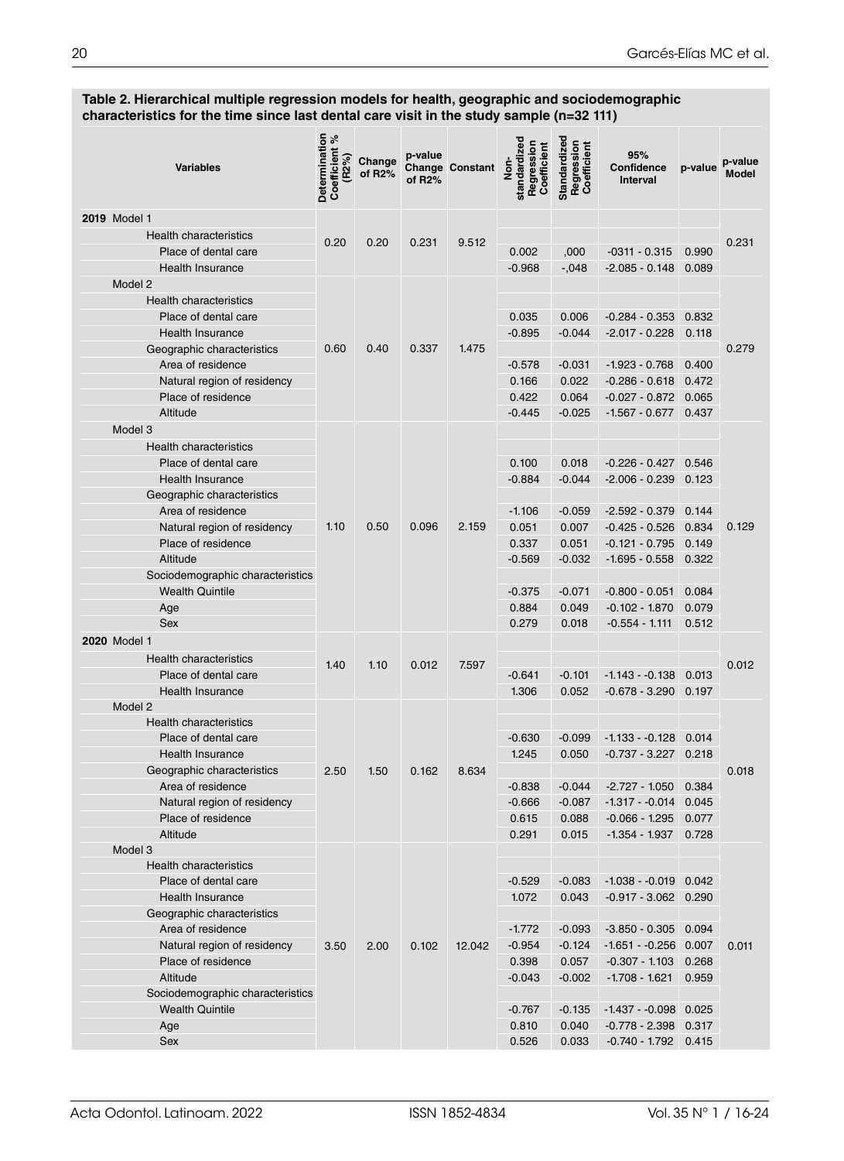#### **Table 2. Hierarchical multiple regression models for health, geographic and sociodemographic characteristics for the time since last dental care visit in the study sample (n=32 111)**

| <b>Variables</b>                                 | Determination<br>४<br><b>Coefficient</b><br>(R2%) | Change<br>of R <sub>2</sub> % | p-value<br>of R <sub>2</sub> % | <b>Change Constant</b> | standardized<br>Regression<br>Coefficient<br>Nor. | Standardized<br>Regression<br>Coefficient | 95%<br>Confidence<br><b>Interval</b> | p-value | p-value<br><b>Model</b> |
|--------------------------------------------------|---------------------------------------------------|-------------------------------|--------------------------------|------------------------|---------------------------------------------------|-------------------------------------------|--------------------------------------|---------|-------------------------|
| 2019 Model 1                                     |                                                   |                               |                                |                        |                                                   |                                           |                                      |         |                         |
| <b>Health characteristics</b>                    | 0.20                                              |                               | 0.231                          | 9.512                  |                                                   |                                           |                                      |         | 0.231                   |
| Place of dental care                             |                                                   | 0.20                          |                                |                        | 0.002                                             | ,000                                      | $-0311 - 0.315$                      | 0.990   |                         |
| <b>Health Insurance</b>                          |                                                   |                               |                                |                        | $-0.968$                                          | $-0.048$                                  | $-2.085 - 0.148$                     | 0.089   |                         |
| Model 2                                          |                                                   |                               |                                |                        |                                                   |                                           |                                      |         |                         |
| <b>Health characteristics</b>                    |                                                   |                               |                                |                        |                                                   |                                           |                                      |         |                         |
| Place of dental care                             |                                                   | 0.40                          |                                |                        | 0.035                                             | 0.006                                     | $-0.284 - 0.353$                     | 0.832   |                         |
| Health Insurance                                 |                                                   |                               |                                |                        | $-0.895$                                          | $-0.044$                                  | $-2.017 - 0.228$                     | 0.118   |                         |
| Geographic characteristics                       | 0.60                                              |                               | 0.337                          | 1.475                  |                                                   |                                           |                                      |         | 0.279                   |
| Area of residence                                |                                                   |                               |                                |                        | $-0.578$                                          | $-0.031$                                  | $-1.923 - 0.768$                     | 0.400   |                         |
| Natural region of residency                      |                                                   |                               |                                |                        | 0.166                                             | 0.022                                     | $-0.286 - 0.618$                     | 0.472   |                         |
| Place of residence                               |                                                   |                               |                                |                        | 0.422                                             | 0.064                                     | $-0.027 - 0.872$                     | 0.065   |                         |
| Altitude                                         |                                                   |                               |                                |                        | $-0.445$                                          | $-0.025$                                  | $-1.567 - 0.677$                     | 0.437   |                         |
| Model 3                                          |                                                   |                               |                                |                        |                                                   |                                           |                                      |         |                         |
| <b>Health characteristics</b>                    |                                                   |                               |                                |                        |                                                   |                                           |                                      |         |                         |
| Place of dental care                             |                                                   |                               | 0.096                          | 2.159                  | 0.100                                             | 0.018                                     | $-0.226 - 0.427$                     | 0.546   |                         |
| <b>Health Insurance</b>                          |                                                   | 0.50                          |                                |                        | $-0.884$                                          | $-0.044$                                  | $-2.006 - 0.239$                     | 0.123   |                         |
| Geographic characteristics                       |                                                   |                               |                                |                        |                                                   |                                           |                                      |         |                         |
| Area of residence                                |                                                   |                               |                                |                        | $-1.106$                                          | $-0.059$                                  | $-2.592 - 0.379$                     | 0.144   |                         |
| Natural region of residency                      | 1.10                                              |                               |                                |                        | 0.051                                             | 0.007                                     | $-0.425 - 0.526$                     | 0.834   | 0.129                   |
| Place of residence                               |                                                   |                               |                                |                        | 0.337                                             | 0.051                                     | $-0.121 - 0.795$                     | 0.149   |                         |
| Altitude                                         |                                                   |                               |                                |                        | $-0.569$                                          | $-0.032$                                  | $-1.695 - 0.558$                     | 0.322   |                         |
| Sociodemographic characteristics                 |                                                   |                               |                                |                        |                                                   |                                           |                                      |         |                         |
| <b>Wealth Quintile</b>                           |                                                   |                               |                                |                        | $-0.375$                                          | $-0.071$                                  | $-0.800 - 0.051$                     | 0.084   |                         |
| Age                                              |                                                   |                               |                                |                        | 0.884                                             | 0.049                                     | $-0.102 - 1.870$                     | 0.079   |                         |
| Sex                                              |                                                   |                               |                                |                        | 0.279                                             | 0.018                                     | $-0.554 - 1.111$                     | 0.512   |                         |
| 2020 Model 1                                     |                                                   |                               |                                |                        |                                                   |                                           |                                      |         |                         |
| <b>Health characteristics</b>                    | 1.40                                              | 1.10                          | 0.012                          | 7.597                  |                                                   |                                           |                                      |         | 0.012                   |
| Place of dental care                             |                                                   |                               |                                |                        | $-0.641$                                          | $-0.101$                                  | $-1.143 - 0.138$                     | 0.013   |                         |
| Health Insurance                                 |                                                   |                               |                                |                        | 1.306                                             | 0.052                                     | $-0.678 - 3.290$                     | 0.197   |                         |
| Model 2                                          |                                                   |                               |                                |                        |                                                   |                                           |                                      |         |                         |
| <b>Health characteristics</b>                    |                                                   |                               |                                |                        |                                                   |                                           |                                      |         |                         |
| Place of dental care                             |                                                   |                               |                                |                        | $-0.630$                                          | $-0.099$                                  | $-1.133 - -0.128$                    | 0.014   |                         |
| Health Insurance                                 |                                                   |                               | 0.162                          | 8.634                  | 1.245                                             | 0.050                                     | $-0.737 - 3.227$                     | 0.218   | 0.018                   |
| Geographic characteristics                       | 2.50                                              | 1.50                          |                                |                        | $-0.838$                                          | $-0.044$                                  | $-2.727 - 1.050$                     | 0.384   |                         |
| Area of residence<br>Natural region of residency |                                                   |                               |                                |                        | $-0.666$                                          | $-0.087$                                  | $-1.317 - 0.014$ 0.045               |         |                         |
| Place of residence                               |                                                   |                               |                                |                        | 0.615                                             | 0.088                                     | $-0.066 - 1.295$                     | 0.077   |                         |
| Altitude                                         |                                                   |                               |                                |                        | 0.291                                             | 0.015                                     | $-1.354 - 1.937$                     | 0.728   |                         |
| Model 3                                          |                                                   |                               |                                |                        |                                                   |                                           |                                      |         |                         |
| Health characteristics                           |                                                   |                               |                                |                        |                                                   |                                           |                                      |         |                         |
| Place of dental care                             |                                                   |                               |                                |                        | $-0.529$                                          | $-0.083$                                  | $-1.038 - 0.019$ 0.042               |         |                         |
| Health Insurance                                 |                                                   |                               |                                |                        | 1.072                                             | 0.043                                     | $-0.917 - 3.062$ 0.290               |         |                         |
| Geographic characteristics                       |                                                   |                               |                                |                        |                                                   |                                           |                                      |         |                         |
| Area of residence                                |                                                   |                               |                                |                        | $-1.772$                                          | $-0.093$                                  | $-3.850 - 0.305$ 0.094               |         |                         |
| Natural region of residency                      | 3.50                                              | 2.00                          | 0.102                          | 12.042                 | $-0.954$                                          | $-0.124$                                  | $-1.651 - -0.256$ 0.007              |         | 0.011                   |
| Place of residence                               |                                                   |                               |                                |                        | 0.398                                             | 0.057                                     | $-0.307 - 1.103$                     | 0.268   |                         |
| Altitude                                         |                                                   |                               |                                |                        | $-0.043$                                          | $-0.002$                                  | -1.708 - 1.621                       | 0.959   |                         |
| Sociodemographic characteristics                 |                                                   |                               |                                |                        |                                                   |                                           |                                      |         |                         |
| <b>Wealth Quintile</b>                           |                                                   |                               |                                |                        | $-0.767$                                          | $-0.135$                                  | $-1.437 - 0.098$ 0.025               |         |                         |
| Age                                              |                                                   |                               |                                |                        | 0.810                                             | 0.040                                     | $-0.778 - 2.398$                     | 0.317   |                         |
| Sex                                              |                                                   |                               |                                |                        | 0.526                                             | 0.033                                     | $-0.740 - 1.792$ 0.415               |         |                         |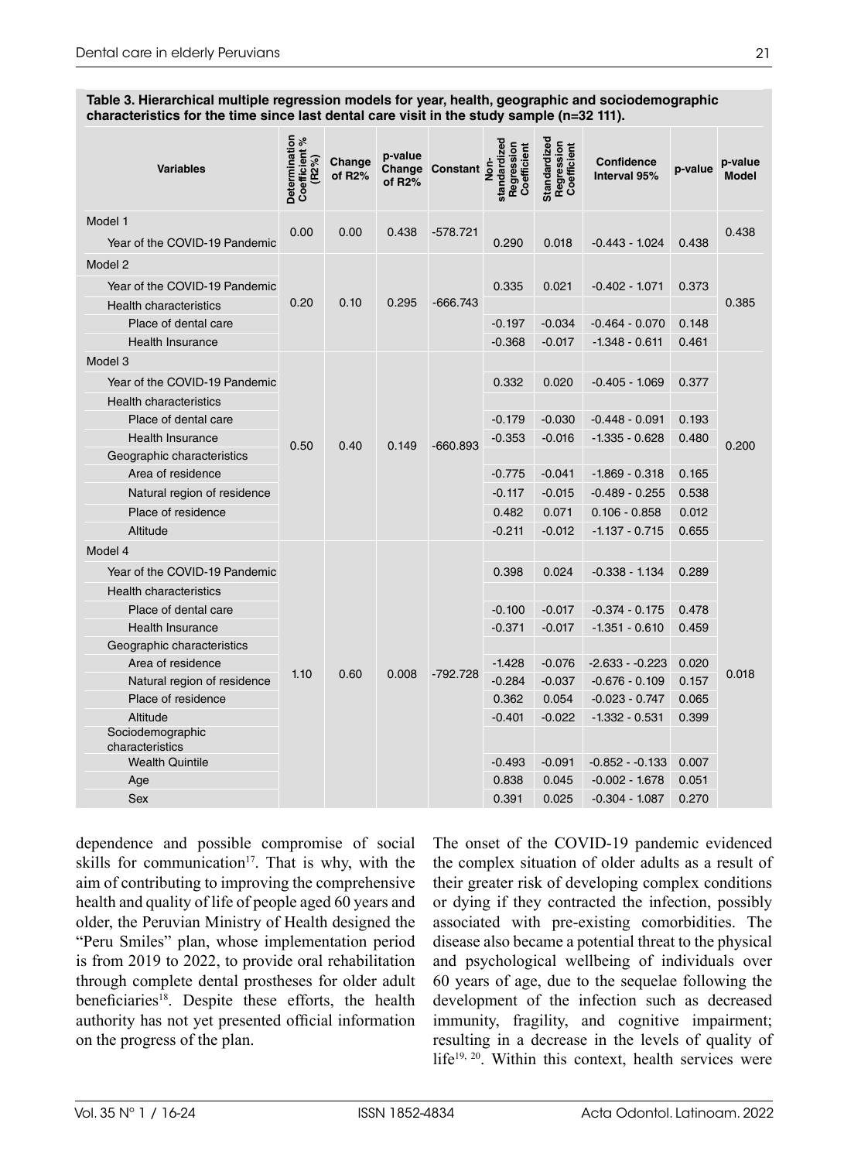**Table 3. Hierarchical multiple regression models for year, health, geographic and sociodemographic characteristics for the time since last dental care visit in the study sample (n=32 111).**

| <b>Variables</b>                         | Determination<br>Coefficient %<br>(R <sub>2%</sub> ) | Change<br>of R2% | p-value<br>of $R2%$ | Change Constant | standardized<br>Regression<br>Coefficient<br>Se<br>No | Standardized<br>Regression<br>Coefficient | <b>Confidence</b><br>Interval 95% | p-value | p-value<br><b>Model</b> |
|------------------------------------------|------------------------------------------------------|------------------|---------------------|-----------------|-------------------------------------------------------|-------------------------------------------|-----------------------------------|---------|-------------------------|
| Model 1<br>Year of the COVID-19 Pandemic | 0.00                                                 | 0.00             | 0.438               | $-578.721$      | 0.290                                                 | 0.018                                     | $-0.443 - 1.024$                  | 0.438   | 0.438                   |
| Model 2                                  |                                                      | 0.10             | 0.295               | $-666.743$      |                                                       |                                           |                                   |         | 0.385                   |
|                                          |                                                      |                  |                     |                 |                                                       |                                           |                                   |         |                         |
| Year of the COVID-19 Pandemic            | 0.20                                                 |                  |                     |                 | 0.335                                                 | 0.021                                     | $-0.402 - 1.071$                  | 0.373   |                         |
| <b>Health characteristics</b>            |                                                      |                  |                     |                 |                                                       |                                           |                                   |         |                         |
| Place of dental care                     |                                                      |                  |                     |                 | $-0.197$                                              | $-0.034$                                  | $-0.464 - 0.070$                  | 0.148   |                         |
| <b>Health Insurance</b>                  |                                                      |                  |                     |                 | $-0.368$                                              | $-0.017$                                  | $-1.348 - 0.611$                  | 0.461   |                         |
| Model <sub>3</sub>                       |                                                      | 0.40             | 0.149               |                 |                                                       |                                           |                                   |         | 0.200                   |
| Year of the COVID-19 Pandemic            |                                                      |                  |                     |                 | 0.332                                                 | 0.020                                     | $-0.405 - 1.069$                  | 0.377   |                         |
| <b>Health characteristics</b>            |                                                      |                  |                     |                 |                                                       |                                           |                                   |         |                         |
| Place of dental care                     |                                                      |                  |                     |                 | $-0.179$                                              | $-0.030$                                  | $-0.448 - 0.091$                  | 0.193   |                         |
| <b>Health Insurance</b>                  | 0.50                                                 |                  |                     | $-660.893$      | $-0.353$                                              | $-0.016$                                  | $-1.335 - 0.628$                  | 0.480   |                         |
| Geographic characteristics               |                                                      |                  |                     |                 |                                                       |                                           |                                   |         |                         |
| Area of residence                        |                                                      |                  |                     |                 | $-0.775$                                              | $-0.041$                                  | $-1.869 - 0.318$                  | 0.165   |                         |
| Natural region of residence              |                                                      |                  |                     |                 | $-0.117$                                              | $-0.015$                                  | $-0.489 - 0.255$                  | 0.538   |                         |
| Place of residence                       |                                                      |                  |                     |                 | 0.482                                                 | 0.071                                     | $0.106 - 0.858$                   | 0.012   |                         |
| Altitude                                 |                                                      |                  |                     |                 | $-0.211$                                              | $-0.012$                                  | $-1.137 - 0.715$                  | 0.655   |                         |
| Model 4                                  |                                                      | 0.60             | 0.008               |                 |                                                       |                                           |                                   |         | 0.018                   |
| Year of the COVID-19 Pandemic            |                                                      |                  |                     |                 | 0.398                                                 | 0.024                                     | $-0.338 - 1.134$                  | 0.289   |                         |
| <b>Health characteristics</b>            |                                                      |                  |                     |                 |                                                       |                                           |                                   |         |                         |
| Place of dental care                     |                                                      |                  |                     |                 | $-0.100$                                              | $-0.017$                                  | $-0.374 - 0.175$                  | 0.478   |                         |
| <b>Health Insurance</b>                  |                                                      |                  |                     |                 | $-0.371$                                              | $-0.017$                                  | $-1.351 - 0.610$                  | 0.459   |                         |
| Geographic characteristics               |                                                      |                  |                     |                 |                                                       |                                           |                                   |         |                         |
| Area of residence                        | 1.10                                                 |                  |                     | $-792.728$      | $-1.428$                                              | $-0.076$                                  | $-2.633 - 0.223$                  | 0.020   |                         |
| Natural region of residence              |                                                      |                  |                     |                 | $-0.284$                                              | $-0.037$                                  | $-0.676 - 0.109$                  | 0.157   |                         |
| Place of residence                       |                                                      |                  |                     |                 | 0.362                                                 | 0.054                                     | $-0.023 - 0.747$                  | 0.065   |                         |
| Altitude                                 |                                                      |                  |                     |                 | $-0.401$                                              | $-0.022$                                  | $-1.332 - 0.531$                  | 0.399   |                         |
| Sociodemographic<br>characteristics      |                                                      |                  |                     |                 |                                                       |                                           |                                   |         |                         |
| <b>Wealth Quintile</b>                   |                                                      |                  |                     |                 | $-0.493$                                              | $-0.091$                                  | $-0.852 - 0.133$                  | 0.007   |                         |
| Age                                      |                                                      |                  |                     |                 | 0.838                                                 | 0.045                                     | $-0.002 - 1.678$                  | 0.051   |                         |
| Sex                                      |                                                      |                  |                     |                 | 0.391                                                 | 0.025                                     | $-0.304 - 1.087$                  | 0.270   |                         |

dependence and possible compromise of social skills for communication<sup>17</sup>. That is why, with the aim of contributing to improving the comprehensive health and quality of life of people aged 60 years and older, the Peruvian Ministry of Health designed the "Peru Smiles" plan, whose implementation period is from 2019 to 2022, to provide oral rehabilitation through complete dental prostheses for older adult beneficiaries<sup>18</sup>. Despite these efforts, the health authority has not yet presented official information on the progress of the plan.

The onset of the COVID-19 pandemic evidenced the complex situation of older adults as a result of their greater risk of developing complex conditions or dying if they contracted the infection, possibly associated with pre-existing comorbidities. The disease also became a potential threat to the physical and psychological wellbeing of individuals over 60 years of age, due to the sequelae following the development of the infection such as decreased immunity, fragility, and cognitive impairment; resulting in a decrease in the levels of quality of life<sup>19, 20</sup>. Within this context, health services were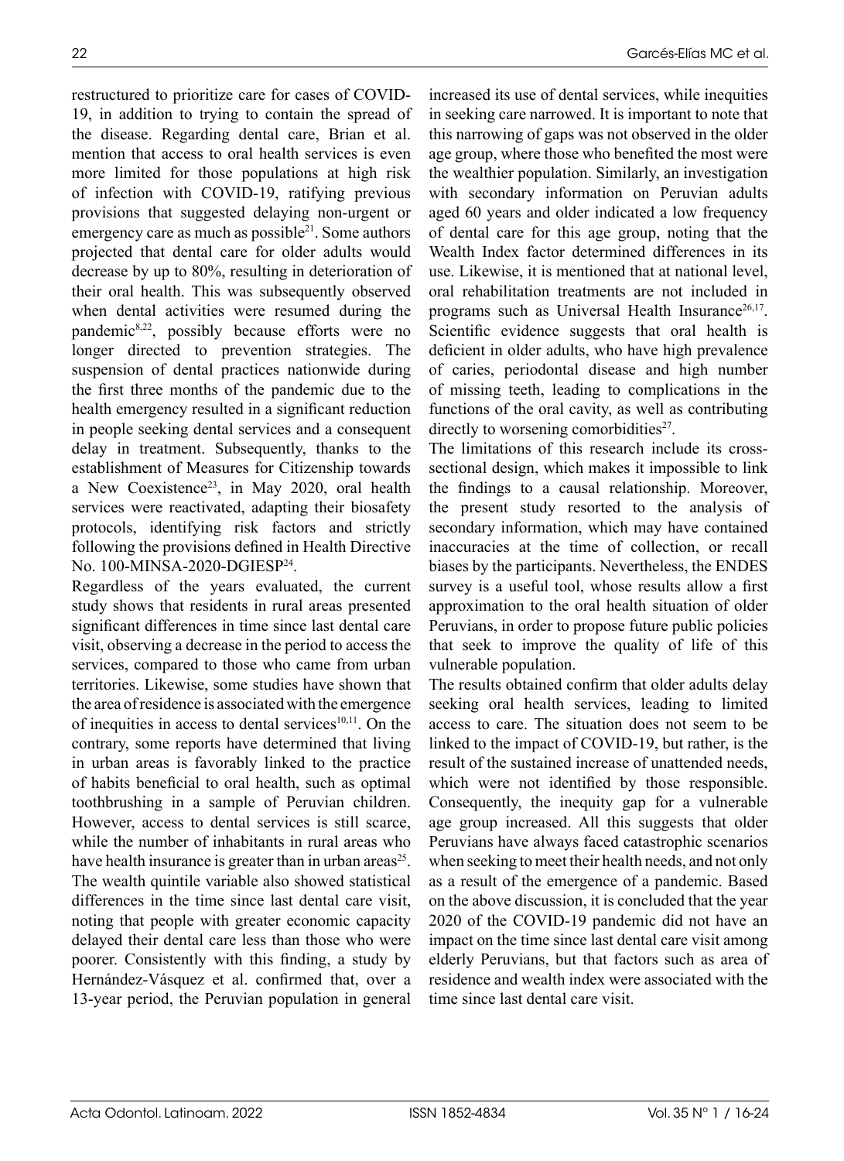restructured to prioritize care for cases of COVID-19, in addition to trying to contain the spread of the disease. Regarding dental care, Brian et al. mention that access to oral health services is even more limited for those populations at high risk of infection with COVID-19, ratifying previous provisions that suggested delaying non-urgent or emergency care as much as possible<sup>21</sup>. Some authors projected that dental care for older adults would decrease by up to 80%, resulting in deterioration of their oral health. This was subsequently observed when dental activities were resumed during the pandemic8,22, possibly because efforts were no longer directed to prevention strategies. The suspension of dental practices nationwide during the first three months of the pandemic due to the health emergency resulted in a significant reduction in people seeking dental services and a consequent delay in treatment. Subsequently, thanks to the establishment of Measures for Citizenship towards a New Coexistence<sup>23</sup>, in May 2020, oral health services were reactivated, adapting their biosafety protocols, identifying risk factors and strictly following the provisions defined in Health Directive No. 100-MINSA-2020-DGIESP24.

Regardless of the years evaluated, the current study shows that residents in rural areas presented significant differences in time since last dental care visit, observing a decrease in the period to access the services, compared to those who came from urban territories. Likewise, some studies have shown that the area of residence is associated with the emergence of inequities in access to dental services $10,11$ . On the contrary, some reports have determined that living in urban areas is favorably linked to the practice of habits beneficial to oral health, such as optimal toothbrushing in a sample of Peruvian children. However, access to dental services is still scarce, while the number of inhabitants in rural areas who have health insurance is greater than in urban areas<sup>25</sup>. The wealth quintile variable also showed statistical differences in the time since last dental care visit, noting that people with greater economic capacity delayed their dental care less than those who were poorer. Consistently with this finding, a study by Hernández-Vásquez et al. confirmed that, over a 13-year period, the Peruvian population in general

increased its use of dental services, while inequities in seeking care narrowed. It is important to note that this narrowing of gaps was not observed in the older age group, where those who benefited the most were the wealthier population. Similarly, an investigation with secondary information on Peruvian adults aged 60 years and older indicated a low frequency of dental care for this age group, noting that the Wealth Index factor determined differences in its use. Likewise, it is mentioned that at national level, oral rehabilitation treatments are not included in programs such as Universal Health Insurance<sup>26,17</sup>. Scientific evidence suggests that oral health is deficient in older adults, who have high prevalence of caries, periodontal disease and high number of missing teeth, leading to complications in the functions of the oral cavity, as well as contributing directly to worsening comorbidities $2^7$ .

The limitations of this research include its crosssectional design, which makes it impossible to link the findings to a causal relationship. Moreover, the present study resorted to the analysis of secondary information, which may have contained inaccuracies at the time of collection, or recall biases by the participants. Nevertheless, the ENDES survey is a useful tool, whose results allow a first approximation to the oral health situation of older Peruvians, in order to propose future public policies that seek to improve the quality of life of this vulnerable population.

The results obtained confirm that older adults delay seeking oral health services, leading to limited access to care. The situation does not seem to be linked to the impact of COVID-19, but rather, is the result of the sustained increase of unattended needs, which were not identified by those responsible. Consequently, the inequity gap for a vulnerable age group increased. All this suggests that older Peruvians have always faced catastrophic scenarios when seeking to meet their health needs, and not only as a result of the emergence of a pandemic. Based on the above discussion, it is concluded that the year 2020 of the COVID-19 pandemic did not have an impact on the time since last dental care visit among elderly Peruvians, but that factors such as area of residence and wealth index were associated with the time since last dental care visit.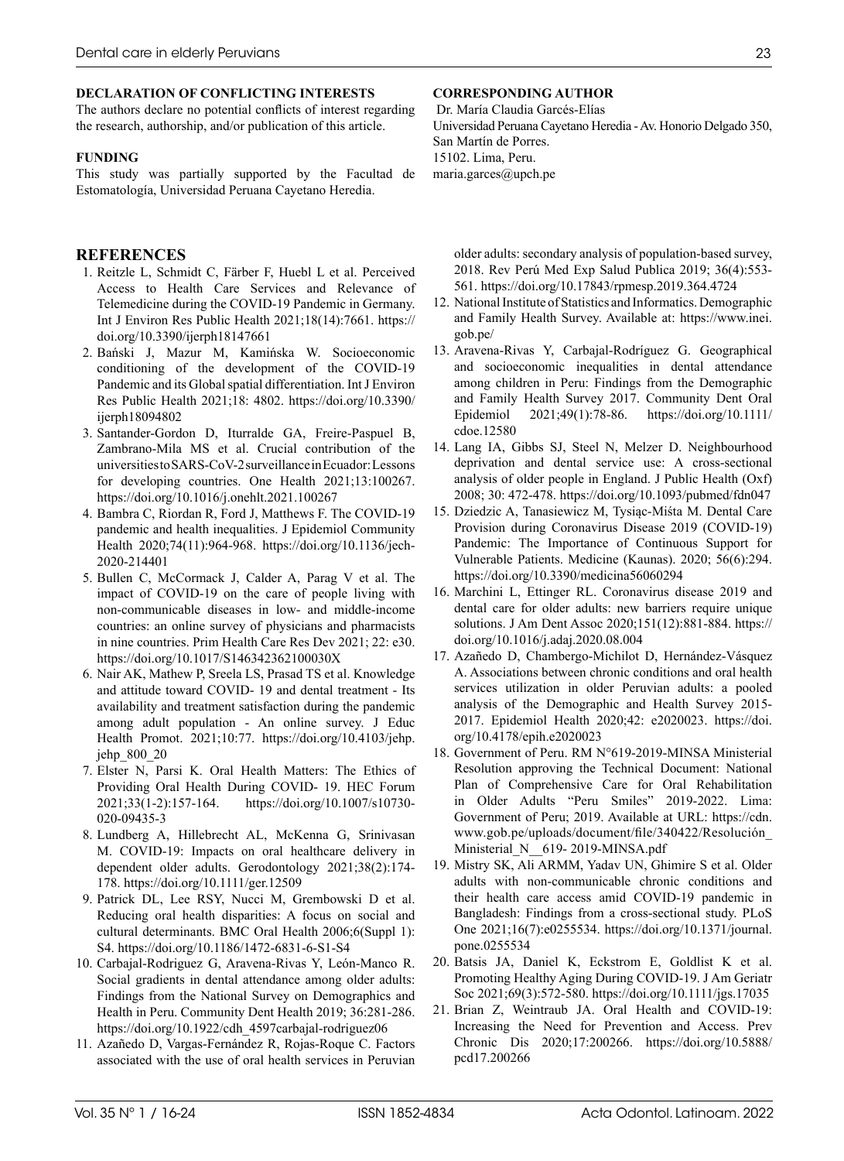#### **DECLARATION OF CONFLICTING INTERESTS**

The authors declare no potential conflicts of interest regarding the research, authorship, and/or publication of this article.

#### **FUNDING**

This study was partially supported by the Facultad de Estomatología, Universidad Peruana Cayetano Heredia.

#### **REFERENCES**

- 1. Reitzle L, Schmidt C, Färber F, Huebl L et al. Perceived Access to Health Care Services and Relevance of Telemedicine during the COVID-19 Pandemic in Germany. Int J Environ Res Public Health 2021;18(14):7661. [https://](https://doi.org/10.3390/ijerph18147661) [doi.org/10.3390/ijerph18147661](https://doi.org/10.3390/ijerph18147661)
- 2. Bański J, Mazur M, Kamińska W. Socioeconomic conditioning of the development of the COVID-19 Pandemic and its Global spatial differentiation. Int J Environ Res Public Health 2021;18: 4802. https://doi.org/10.3390/ ijerph18094802
- 3. Santander-Gordon D, Iturralde GA, Freire-Paspuel B, Zambrano-Mila MS et al. Crucial contribution of the universities to SARS-CoV-2 surveillance in Ecuador: Lessons for developing countries. One Health 2021;13:100267. <https://doi.org/10.1016/j.onehlt.2021.100267>
- 4. Bambra C, Riordan R, Ford J, Matthews F. The COVID-19 pandemic and health inequalities. J Epidemiol Community Health 2020;74(11):964-968. [https://doi.org/10.1136/jech-](https://doi.org/10.1136/jech-2020-214401)[2020-214401](https://doi.org/10.1136/jech-2020-214401)
- 5. Bullen C, McCormack J, Calder A, Parag V et al. The impact of COVID-19 on the care of people living with non-communicable diseases in low- and middle-income countries: an online survey of physicians and pharmacists in nine countries. Prim Health Care Res Dev 2021; 22: e30. <https://doi.org/10.1017/S146342362100030X>
- 6. Nair AK, Mathew P, Sreela LS, Prasad TS et al. Knowledge and attitude toward COVID- 19 and dental treatment - Its availability and treatment satisfaction during the pandemic among adult population - An online survey. J Educ Health Promot. 2021;10:77. [https://doi.org/10.4103/jehp.](https://doi.org/10.4103/jehp.jehp_800_20) [jehp\\_800\\_20](https://doi.org/10.4103/jehp.jehp_800_20)
- 7. Elster N, Parsi K. Oral Health Matters: The Ethics of Providing Oral Health During COVID- 19. HEC Forum 2021;33(1-2):157-164. [https://doi.org/10.1007/s10730-](https://doi.org/10.1007/s10730-020-09435-3) [020-09435-3](https://doi.org/10.1007/s10730-020-09435-3)
- 8. Lundberg A, Hillebrecht AL, McKenna G, Srinivasan M. COVID-19: Impacts on oral healthcare delivery in dependent older adults. Gerodontology 2021;38(2):174- 178.<https://doi.org/10.1111/ger.12509>
- 9. Patrick DL, Lee RSY, Nucci M, Grembowski D et al. Reducing oral health disparities: A focus on social and cultural determinants. BMC Oral Health 2006;6(Suppl 1): S4.<https://doi.org/10.1186/1472-6831-6-S1-S4>
- 10. Carbajal-Rodriguez G, Aravena-Rivas Y, León-Manco R. Social gradients in dental attendance among older adults: Findings from the National Survey on Demographics and Health in Peru. Community Dent Health 2019; 36:281-286. [https://doi.org/10.1922/cdh\\_4597carbajal-rodriguez06](https://doi.org/10.1922/cdh_4597carbajal-rodriguez06)
- 11. Azañedo D, Vargas-Fernández R, Rojas-Roque C. Factors associated with the use of oral health services in Peruvian

#### **CORRESPONDING AUTHOR**

 Dr. María Claudia Garcés-Elías Universidad Peruana Cayetano Heredia - Av. Honorio Delgado 350, San Martín de Porres. 15102. Lima, Peru. maria.garces@upch.pe

older adults: secondary analysis of population-based survey, 2018. Rev Perú Med Exp Salud Publica 2019; 36(4):553- 561.<https://doi.org/10.17843/rpmesp.2019.364.4724>

- 12. National Institute of Statistics and Informatics. Demographic and Family Health Survey. Available at: [https://www.inei.](https://www.inei.gob.pe/) [gob.pe/](https://www.inei.gob.pe/)
- 13. Aravena-Rivas Y, Carbajal-Rodríguez G. Geographical and socioeconomic inequalities in dental attendance among children in Peru: Findings from the Demographic and Family Health Survey 2017. Community Dent Oral Epidemiol 2021;49(1):78-86. [https://doi.org/10.1111/](https://doi.org/10.1111/cdoe.12580) [cdoe.12580](https://doi.org/10.1111/cdoe.12580)
- 14. Lang IA, Gibbs SJ, Steel N, Melzer D. Neighbourhood deprivation and dental service use: A cross-sectional analysis of older people in England. J Public Health (Oxf) 2008; 30: 472-478. [https://doi.org/10.1093/pubmed/fdn047](https://doi.org/10.1093/pubmed/fdn047 )
- 15. Dziedzic A, Tanasiewicz M, Tysiąc-Miśta M. Dental Care Provision during Coronavirus Disease 2019 (COVID-19) Pandemic: The Importance of Continuous Support for Vulnerable Patients. Medicine (Kaunas). 2020; 56(6):294. <https://doi.org/10.3390/medicina56060294>
- 16. Marchini L, Ettinger RL. Coronavirus disease 2019 and dental care for older adults: new barriers require unique solutions. J Am Dent Assoc 2020;151(12):881-884. [https://](https://doi.org/10.1016/j.adaj.2020.08.004) [doi.org/10.1016/j.adaj.2020.08.004](https://doi.org/10.1016/j.adaj.2020.08.004)
- 17. Azañedo D, Chambergo-Michilot D, Hernández-Vásquez A. Associations between chronic conditions and oral health services utilization in older Peruvian adults: a pooled analysis of the Demographic and Health Survey 2015- 2017. Epidemiol Health 2020;42: e2020023. [https://doi.](https://doi.org/10.4178/epih.e2020023) [org/10.4178/epih.e2020023](https://doi.org/10.4178/epih.e2020023)
- 18. Government of Peru. RM N°619-2019-MINSA Ministerial Resolution approving the Technical Document: National Plan of Comprehensive Care for Oral Rehabilitation in Older Adults "Peru Smiles" 2019-2022. Lima: Government of Peru; 2019. Available at URL: [https://cdn.](https://cdn.www.gob.pe/uploads/document/file/340422/Resolución_Ministerial_N__619- 2019-MINSA.pdf) [www.gob.pe/uploads/document/file/340422/Resolución\\_](https://cdn.www.gob.pe/uploads/document/file/340422/Resolución_Ministerial_N__619- 2019-MINSA.pdf) [Ministerial\\_N\\_\\_619- 2019-MINSA.pdf](https://cdn.www.gob.pe/uploads/document/file/340422/Resolución_Ministerial_N__619- 2019-MINSA.pdf)
- 19. Mistry SK, Ali ARMM, Yadav UN, Ghimire S et al. Older adults with non-communicable chronic conditions and their health care access amid COVID-19 pandemic in Bangladesh: Findings from a cross-sectional study. PLoS One 2021;16(7):e0255534. [https://doi.org/10.1371/journal.](https://doi.org/10.1371/journal.pone.0255534) [pone.0255534](https://doi.org/10.1371/journal.pone.0255534)
- 20. Batsis JA, Daniel K, Eckstrom E, Goldlist K et al. Promoting Healthy Aging During COVID-19. J Am Geriatr Soc 2021;69(3):572-580. <https://doi.org/10.1111/jgs.17035>
- 21. Brian Z, Weintraub JA. Oral Health and COVID-19: Increasing the Need for Prevention and Access. Prev Chronic Dis 2020;17:200266. [https://doi.org/10.5888/](https://doi.org/10.5888/pcd17.200266) [pcd17.200266](https://doi.org/10.5888/pcd17.200266)